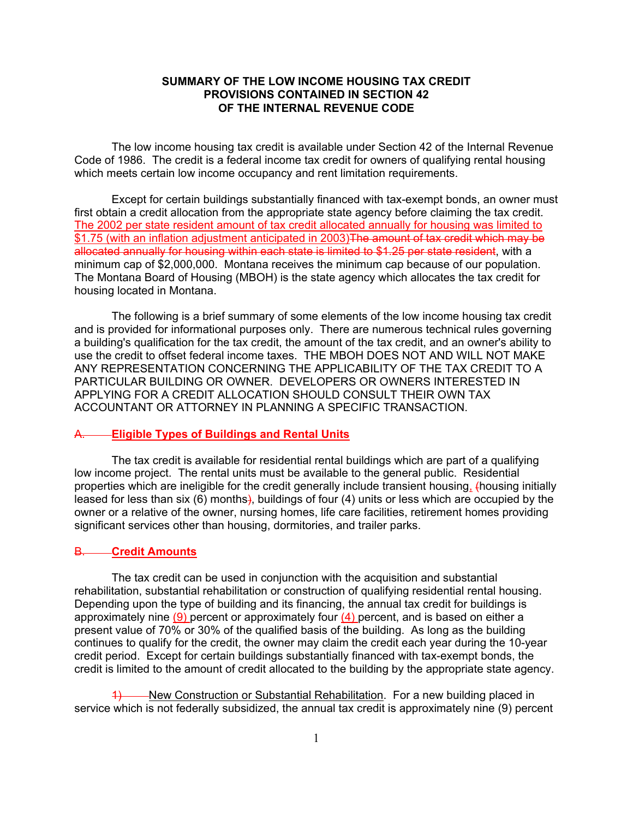# **SUMMARY OF THE LOW INCOME HOUSING TAX CREDIT PROVISIONS CONTAINED IN SECTION 42 OF THE INTERNAL REVENUE CODE**

The low income housing tax credit is available under Section 42 of the Internal Revenue Code of 1986. The credit is a federal income tax credit for owners of qualifying rental housing which meets certain low income occupancy and rent limitation requirements.

Except for certain buildings substantially financed with tax-exempt bonds, an owner must first obtain a credit allocation from the appropriate state agency before claiming the tax credit. The 2002 per state resident amount of tax credit allocated annually for housing was limited to \$1.75 (with an inflation adjustment anticipated in 2003)The amount of tax credit which may be allocated annually for housing within each state is limited to \$1.25 per state resident, with a minimum cap of \$2,000,000. Montana receives the minimum cap because of our population. The Montana Board of Housing (MBOH) is the state agency which allocates the tax credit for housing located in Montana.

The following is a brief summary of some elements of the low income housing tax credit and is provided for informational purposes only. There are numerous technical rules governing a building's qualification for the tax credit, the amount of the tax credit, and an owner's ability to use the credit to offset federal income taxes. THE MBOH DOES NOT AND WILL NOT MAKE ANY REPRESENTATION CONCERNING THE APPLICABILITY OF THE TAX CREDIT TO A PARTICULAR BUILDING OR OWNER. DEVELOPERS OR OWNERS INTERESTED IN APPLYING FOR A CREDIT ALLOCATION SHOULD CONSULT THEIR OWN TAX ACCOUNTANT OR ATTORNEY IN PLANNING A SPECIFIC TRANSACTION.

#### **Eligible Types of Buildings and Rental Units**

The tax credit is available for residential rental buildings which are part of a qualifying low income project. The rental units must be available to the general public. Residential properties which are ineligible for the credit generally include transient housing, (housing initially leased for less than six (6) months), buildings of four (4) units or less which are occupied by the owner or a relative of the owner, nursing homes, life care facilities, retirement homes providing significant services other than housing, dormitories, and trailer parks.

### B. **Credit Amounts**

The tax credit can be used in conjunction with the acquisition and substantial rehabilitation, substantial rehabilitation or construction of qualifying residential rental housing. Depending upon the type of building and its financing, the annual tax credit for buildings is approximately nine  $(9)$  percent or approximately four  $(4)$  percent, and is based on either a present value of 70% or 30% of the qualified basis of the building. As long as the building continues to qualify for the credit, the owner may claim the credit each year during the 10-year credit period. Except for certain buildings substantially financed with tax-exempt bonds, the credit is limited to the amount of credit allocated to the building by the appropriate state agency.

-New Construction or Substantial Rehabilitation. For a new building placed in service which is not federally subsidized, the annual tax credit is approximately nine (9) percent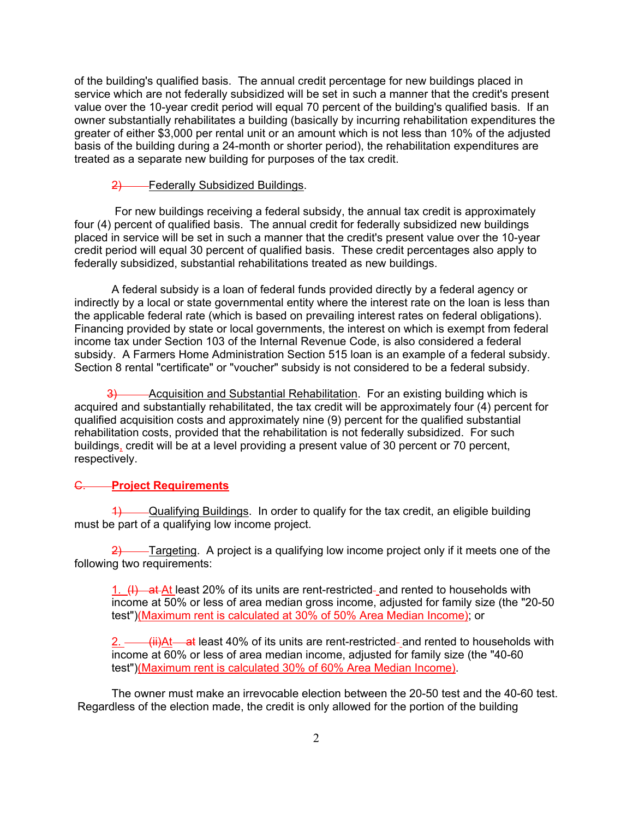of the building's qualified basis. The annual credit percentage for new buildings placed in service which are not federally subsidized will be set in such a manner that the credit's present value over the 10-year credit period will equal 70 percent of the building's qualified basis. If an owner substantially rehabilitates a building (basically by incurring rehabilitation expenditures the greater of either \$3,000 per rental unit or an amount which is not less than 10% of the adjusted basis of the building during a 24-month or shorter period), the rehabilitation expenditures are treated as a separate new building for purposes of the tax credit.

#### 2) Federally Subsidized Buildings.

 For new buildings receiving a federal subsidy, the annual tax credit is approximately four (4) percent of qualified basis. The annual credit for federally subsidized new buildings placed in service will be set in such a manner that the credit's present value over the 10-year credit period will equal 30 percent of qualified basis. These credit percentages also apply to federally subsidized, substantial rehabilitations treated as new buildings.

A federal subsidy is a loan of federal funds provided directly by a federal agency or indirectly by a local or state governmental entity where the interest rate on the loan is less than the applicable federal rate (which is based on prevailing interest rates on federal obligations). Financing provided by state or local governments, the interest on which is exempt from federal income tax under Section 103 of the Internal Revenue Code, is also considered a federal subsidy. A Farmers Home Administration Section 515 loan is an example of a federal subsidy. Section 8 rental "certificate" or "voucher" subsidy is not considered to be a federal subsidy.

3) **Acquisition and Substantial Rehabilitation.** For an existing building which is acquired and substantially rehabilitated, the tax credit will be approximately four (4) percent for qualified acquisition costs and approximately nine (9) percent for the qualified substantial rehabilitation costs, provided that the rehabilitation is not federally subsidized. For such buildings, credit will be at a level providing a present value of 30 percent or 70 percent, respectively.

### C. **Project Requirements**

1) Qualifying Buildings. In order to qualify for the tax credit, an eligible building must be part of a qualifying low income project.

 $2$ ) Targeting. A project is a qualifying low income project only if it meets one of the following two requirements:

1.  $(H)$  at At least 20% of its units are rent-restricted- and rented to households with income at 50% or less of area median gross income, adjusted for family size (the "20-50 test")(Maximum rent is calculated at 30% of 50% Area Median Income); or

<del>(ii)At at</del> least 40% of its units are rent-restricted- and rented to households with income at 60% or less of area median income, adjusted for family size (the "40-60 test")(Maximum rent is calculated 30% of 60% Area Median Income).

The owner must make an irrevocable election between the 20-50 test and the 40-60 test. Regardless of the election made, the credit is only allowed for the portion of the building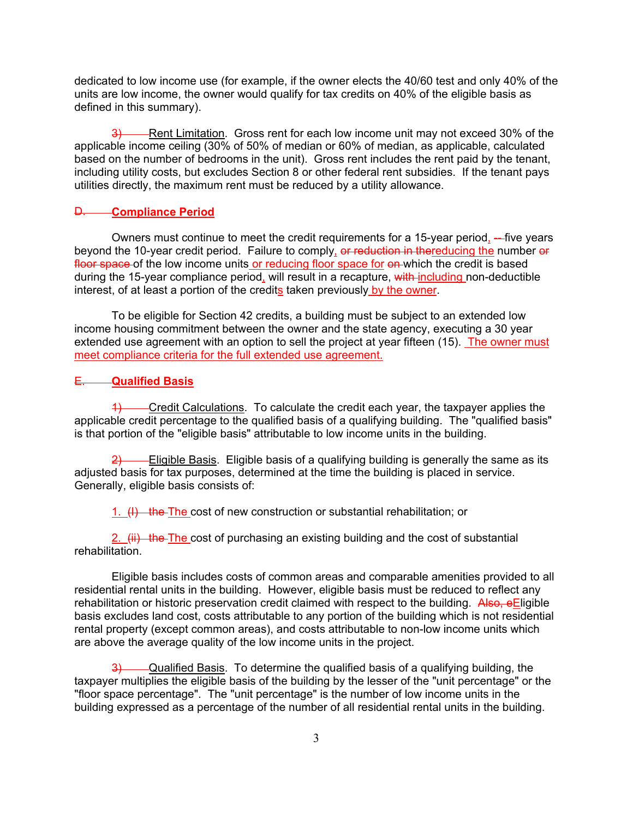dedicated to low income use (for example, if the owner elects the 40/60 test and only 40% of the units are low income, the owner would qualify for tax credits on 40% of the eligible basis as defined in this summary).

3) Rent Limitation. Gross rent for each low income unit may not exceed 30% of the applicable income ceiling (30% of 50% of median or 60% of median, as applicable, calculated based on the number of bedrooms in the unit). Gross rent includes the rent paid by the tenant, including utility costs, but excludes Section 8 or other federal rent subsidies. If the tenant pays utilities directly, the maximum rent must be reduced by a utility allowance.

### D. **Compliance Period**

Owners must continue to meet the credit requirements for a 15-year period, --- five years beyond the 10-year credit period. Failure to comply, or reduction in thereducing the number or floor space of the low income units or reducing floor space for on which the credit is based during the 15-year compliance period, will result in a recapture, with including non-deductible interest, of at least a portion of the credits taken previously by the owner.

To be eligible for Section 42 credits, a building must be subject to an extended low income housing commitment between the owner and the state agency, executing a 30 year extended use agreement with an option to sell the project at year fifteen (15). The owner must meet compliance criteria for the full extended use agreement.

### E. **Qualified Basis**

1) Credit Calculations. To calculate the credit each year, the taxpayer applies the applicable credit percentage to the qualified basis of a qualifying building. The "qualified basis" is that portion of the "eligible basis" attributable to low income units in the building.

 $\frac{2}{2}$  Eligible Basis. Eligible basis of a qualifying building is generally the same as its adjusted basis for tax purposes, determined at the time the building is placed in service. Generally, eligible basis consists of:

 $1.$  (I) the The cost of new construction or substantial rehabilitation; or

2.  $\left(\frac{iii}{i}\right)$  the The cost of purchasing an existing building and the cost of substantial rehabilitation.

Eligible basis includes costs of common areas and comparable amenities provided to all residential rental units in the building. However, eligible basis must be reduced to reflect any rehabilitation or historic preservation credit claimed with respect to the building. Also, eEligible basis excludes land cost, costs attributable to any portion of the building which is not residential rental property (except common areas), and costs attributable to non-low income units which are above the average quality of the low income units in the project.

-Qualified Basis. To determine the qualified basis of a qualifying building, the taxpayer multiplies the eligible basis of the building by the lesser of the "unit percentage" or the "floor space percentage". The "unit percentage" is the number of low income units in the building expressed as a percentage of the number of all residential rental units in the building.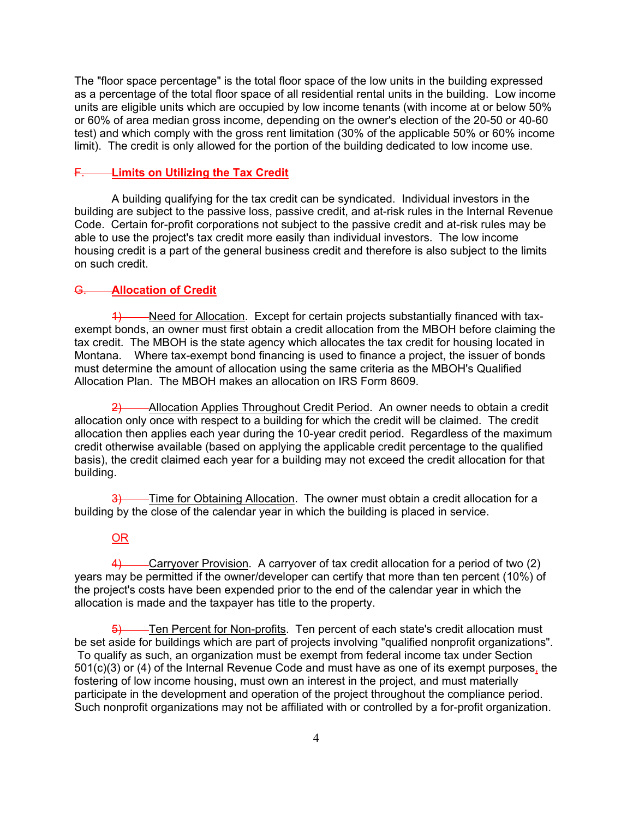The "floor space percentage" is the total floor space of the low units in the building expressed as a percentage of the total floor space of all residential rental units in the building. Low income units are eligible units which are occupied by low income tenants (with income at or below 50% or 60% of area median gross income, depending on the owner's election of the 20-50 or 40-60 test) and which comply with the gross rent limitation (30% of the applicable 50% or 60% income limit). The credit is only allowed for the portion of the building dedicated to low income use.

### **E. Limits on Utilizing the Tax Credit**

A building qualifying for the tax credit can be syndicated. Individual investors in the building are subject to the passive loss, passive credit, and at-risk rules in the Internal Revenue Code. Certain for-profit corporations not subject to the passive credit and at-risk rules may be able to use the project's tax credit more easily than individual investors. The low income housing credit is a part of the general business credit and therefore is also subject to the limits on such credit.

# G. **Allocation of Credit**

1) Need for Allocation. Except for certain projects substantially financed with taxexempt bonds, an owner must first obtain a credit allocation from the MBOH before claiming the tax credit. The MBOH is the state agency which allocates the tax credit for housing located in Montana. Where tax-exempt bond financing is used to finance a project, the issuer of bonds must determine the amount of allocation using the same criteria as the MBOH's Qualified Allocation Plan. The MBOH makes an allocation on IRS Form 8609.

2) Allocation Applies Throughout Credit Period. An owner needs to obtain a credit allocation only once with respect to a building for which the credit will be claimed. The credit allocation then applies each year during the 10-year credit period. Regardless of the maximum credit otherwise available (based on applying the applicable credit percentage to the qualified basis), the credit claimed each year for a building may not exceed the credit allocation for that building.

3) Time for Obtaining Allocation. The owner must obtain a credit allocation for a building by the close of the calendar year in which the building is placed in service.

### OR

4) Carryover Provision. A carryover of tax credit allocation for a period of two (2) years may be permitted if the owner/developer can certify that more than ten percent (10%) of the project's costs have been expended prior to the end of the calendar year in which the allocation is made and the taxpayer has title to the property.

Ten Percent for Non-profits. Ten percent of each state's credit allocation must be set aside for buildings which are part of projects involving "qualified nonprofit organizations". To qualify as such, an organization must be exempt from federal income tax under Section 501(c)(3) or (4) of the Internal Revenue Code and must have as one of its exempt purposes, the fostering of low income housing, must own an interest in the project, and must materially participate in the development and operation of the project throughout the compliance period. Such nonprofit organizations may not be affiliated with or controlled by a for-profit organization.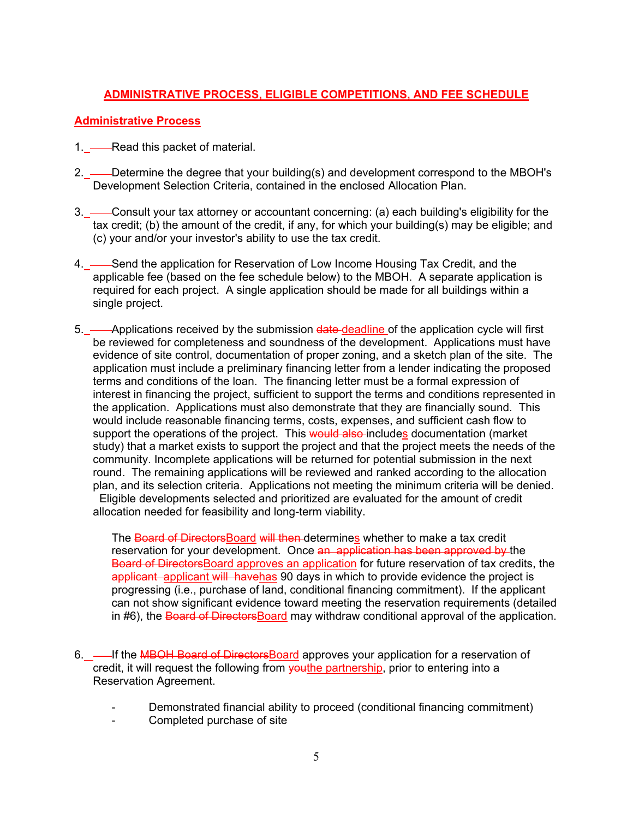# **ADMINISTRATIVE PROCESS, ELIGIBLE COMPETITIONS, AND FEE SCHEDULE**

# **Administrative Process**

1. — Read this packet of material.

- 2. Determine the degree that your building(s) and development correspond to the MBOH's Development Selection Criteria, contained in the enclosed Allocation Plan.
- 3. Consult your tax attorney or accountant concerning: (a) each building's eligibility for the tax credit; (b) the amount of the credit, if any, for which your building(s) may be eligible; and (c) your and/or your investor's ability to use the tax credit.
- 4. Send the application for Reservation of Low Income Housing Tax Credit, and the applicable fee (based on the fee schedule below) to the MBOH. A separate application is required for each project. A single application should be made for all buildings within a single project.
- 5. Applications received by the submission date-deadline of the application cycle will first be reviewed for completeness and soundness of the development. Applications must have evidence of site control, documentation of proper zoning, and a sketch plan of the site. The application must include a preliminary financing letter from a lender indicating the proposed terms and conditions of the loan. The financing letter must be a formal expression of interest in financing the project, sufficient to support the terms and conditions represented in the application. Applications must also demonstrate that they are financially sound. This would include reasonable financing terms, costs, expenses, and sufficient cash flow to support the operations of the project. This would also includes documentation (market study) that a market exists to support the project and that the project meets the needs of the community. Incomplete applications will be returned for potential submission in the next round. The remaining applications will be reviewed and ranked according to the allocation plan, and its selection criteria. Applications not meeting the minimum criteria will be denied. Eligible developments selected and prioritized are evaluated for the amount of credit

allocation needed for feasibility and long-term viability.

The Board of DirectorsBoard will then determines whether to make a tax credit reservation for your development. Once an application has been approved by the Board of Directors Board approves an application for future reservation of tax credits, the applicant applicant will havehas 90 days in which to provide evidence the project is progressing (i.e., purchase of land, conditional financing commitment). If the applicant can not show significant evidence toward meeting the reservation requirements (detailed in #6), the Board of Directors Board may withdraw conditional approval of the application.

- 6. If the MBOH Board of Directors Board approves your application for a reservation of credit, it will request the following from vouthe partnership, prior to entering into a Reservation Agreement.
	- Demonstrated financial ability to proceed (conditional financing commitment)
	- Completed purchase of site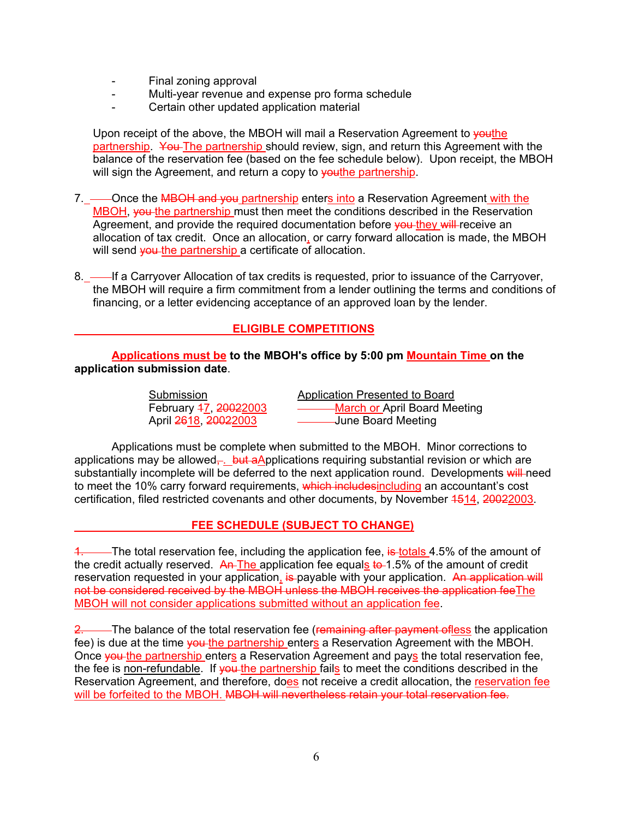- Final zoning approval
- Multi-year revenue and expense pro forma schedule
- Certain other updated application material

Upon receipt of the above, the MBOH will mail a Reservation Agreement to veuthe partnership. You The partnership should review, sign, and return this Agreement with the balance of the reservation fee (based on the fee schedule below). Upon receipt, the MBOH will sign the Agreement, and return a copy to vouthe partnership.

7. \_— Once the MBOH and you partnership enters into a Reservation Agreement with the MBOH, you the partnership must then meet the conditions described in the Reservation Agreement, and provide the required documentation before you they will receive an allocation of tax credit. Once an allocation, or carry forward allocation is made, the MBOH will send you the partnership a certificate of allocation.

8. — If a Carryover Allocation of tax credits is requested, prior to issuance of the Carryover, the MBOH will require a firm commitment from a lender outlining the terms and conditions of financing, or a letter evidencing acceptance of an approved loan by the lender.

# **ELIGIBLE COMPETITIONS**

**Applications must be to the MBOH's office by 5:00 pm Mountain Time on the application submission date**.

| Submission            | Application Presented to Board |
|-----------------------|--------------------------------|
| February 47, 20022003 | March or April Board Meeting   |
| April 2618, 20022003  | -June Board Meeting            |

Applications must be complete when submitted to the MBOH. Minor corrections to applications may be allowed<sub> $\tau$ </sub> but aApplications requiring substantial revision or which are substantially incomplete will be deferred to the next application round. Developments will need to meet the 10% carry forward requirements, which includes including an accountant's cost certification, filed restricted covenants and other documents, by November 4514, 20022003.

# **FEE SCHEDULE (SUBJECT TO CHANGE)**

-The total reservation fee, including the application fee, is totals 4.5% of the amount of the credit actually reserved.  $\overline{AP}$ The application fee equals to 1.5% of the amount of credit reservation requested in your application, is payable with your application. An application will not be considered received by the MBOH unless the MBOH receives the application feeThe MBOH will not consider applications submitted without an application fee.

2. The balance of the total reservation fee (remaining after payment ofless the application fee) is due at the time you the partnership enters a Reservation Agreement with the MBOH. Once you the partnership enters a Reservation Agreement and pays the total reservation fee, the fee is non-refundable. If you the partnership fails to meet the conditions described in the Reservation Agreement, and therefore, does not receive a credit allocation, the reservation fee will be forfeited to the MBOH. MBOH will nevertheless retain your total reservation fee.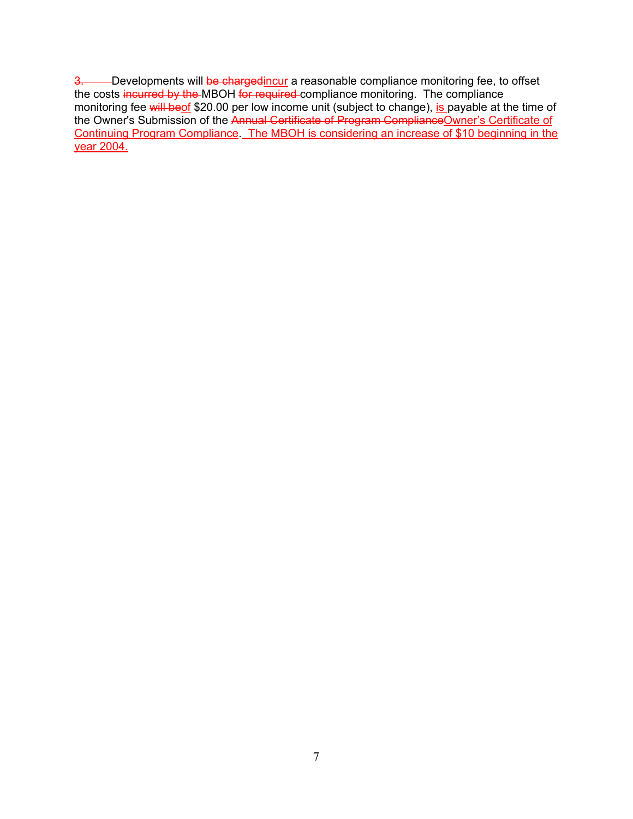3. Developments will be chargedincur a reasonable compliance monitoring fee, to offset the costs incurred by the MBOH for required compliance monitoring. The compliance monitoring fee will beof \$20.00 per low income unit (subject to change), is payable at the time of the Owner's Submission of the Annual Certificate of Program ComplianceOwner's Certificate of Continuing Program Compliance. The MBOH is considering an increase of \$10 beginning in the year 2004.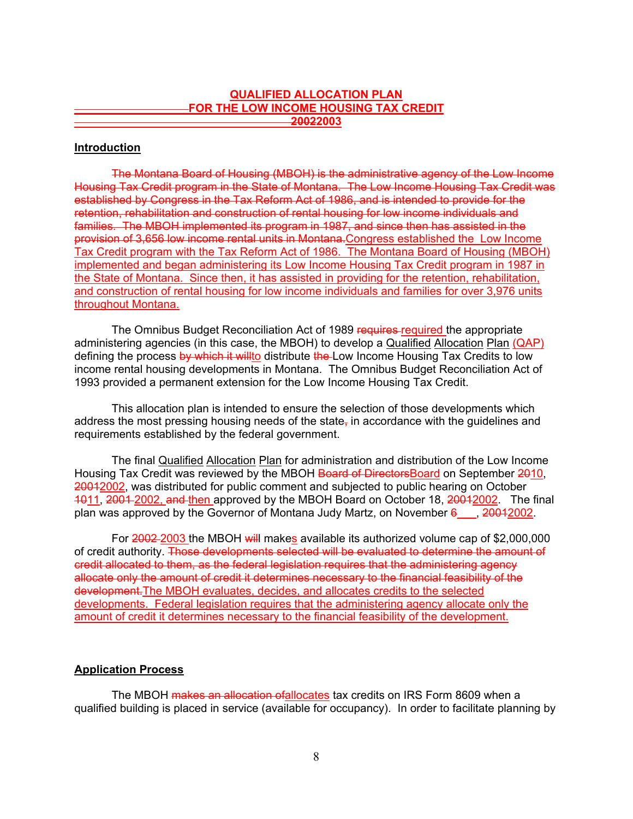# **QUALIFIED ALLOCATION PLAN FOR THE LOW INCOME HOUSING TAX CREDIT 20022003**

### **Introduction**

The Montana Board of Housing (MBOH) is the administrative agency of the Low Income Housing Tax Credit program in the State of Montana. The Low Income Housing Tax Credit was established by Congress in the Tax Reform Act of 1986, and is intended to provide for the retention, rehabilitation and construction of rental housing for low income individuals and families. The MBOH implemented its program in 1987, and since then has assisted in the provision of 3,656 low income rental units in Montana.Congress established the Low Income Tax Credit program with the Tax Reform Act of 1986. The Montana Board of Housing (MBOH) implemented and began administering its Low Income Housing Tax Credit program in 1987 in the State of Montana. Since then, it has assisted in providing for the retention, rehabilitation, and construction of rental housing for low income individuals and families for over 3,976 units throughout Montana.

The Omnibus Budget Reconciliation Act of 1989 requires required the appropriate administering agencies (in this case, the MBOH) to develop a Qualified Allocation Plan (QAP) defining the process by which it willto distribute the Low Income Housing Tax Credits to low income rental housing developments in Montana. The Omnibus Budget Reconciliation Act of 1993 provided a permanent extension for the Low Income Housing Tax Credit.

This allocation plan is intended to ensure the selection of those developments which address the most pressing housing needs of the state- $\overline{a}$  in accordance with the quidelines and requirements established by the federal government.

The final Qualified Allocation Plan for administration and distribution of the Low Income Housing Tax Credit was reviewed by the MBOH Board of Directors Board on September 2010, 20012002, was distributed for public comment and subjected to public hearing on October 1011, 2001 2002, and then approved by the MBOH Board on October 18, 2001 2002. The final plan was approved by the Governor of Montana Judy Martz, on November  $6\quad$ , 20012002.

For 2002-2003 the MBOH will makes available its authorized volume cap of \$2,000,000 of credit authority. Those developments selected will be evaluated to determine the amount of credit allocated to them, as the federal legislation requires that the administering agency allocate only the amount of credit it determines necessary to the financial feasibility of the development.The MBOH evaluates, decides, and allocates credits to the selected developments. Federal legislation requires that the administering agency allocate only the amount of credit it determines necessary to the financial feasibility of the development.

# **Application Process**

The MBOH makes an allocation of allocates tax credits on IRS Form 8609 when a qualified building is placed in service (available for occupancy). In order to facilitate planning by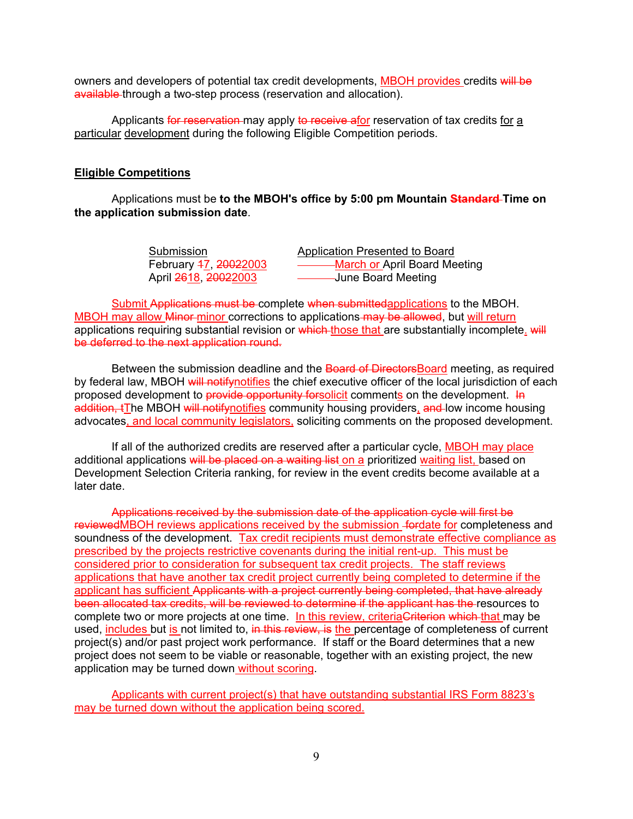owners and developers of potential tax credit developments, MBOH provides credits will be available through a two-step process (reservation and allocation).

Applicants for reservation may apply to receive afor reservation of tax credits for a particular development during the following Eligible Competition periods.

#### **Eligible Competitions**

Applications must be **to the MBOH's office by 5:00 pm Mountain Standard Time on the application submission date**.

Submission **Application Presented to Board** February 47, 20022003 - - - - - - - - March or April Board Meeting April 2618, 20022003 June Board Meeting

Submit Applications must be complete when submittedapplications to the MBOH. MBOH may allow Minor-minor corrections to applications may be allowed, but will return applications requiring substantial revision or which those that are substantially incomplete. will be deferred to the next application round.

Between the submission deadline and the Board of DirectorsBoard meeting, as required by federal law, MBOH will notifynotifies the chief executive officer of the local jurisdiction of each proposed development to provide opportunity forsolicit comments on the development. In addition, tThe MBOH will notifynotifies community housing providers, and low income housing advocates, and local community legislators, soliciting comments on the proposed development.

If all of the authorized credits are reserved after a particular cycle, MBOH may place additional applications will be placed on a waiting list on a prioritized waiting list, based on Development Selection Criteria ranking, for review in the event credits become available at a later date.

Applications received by the submission date of the application cycle will first be reviewedMBOH reviews applications received by the submission fordate for completeness and soundness of the development. Tax credit recipients must demonstrate effective compliance as prescribed by the projects restrictive covenants during the initial rent-up. This must be considered prior to consideration for subsequent tax credit projects. The staff reviews applications that have another tax credit project currently being completed to determine if the applicant has sufficient Applicants with a project currently being completed, that have already been allocated tax credits, will be reviewed to determine if the applicant has the resources to complete two or more projects at one time. In this review, criteria Criterion which that may be used, includes but is not limited to, in this review, is the percentage of completeness of current project(s) and/or past project work performance. If staff or the Board determines that a new project does not seem to be viable or reasonable, together with an existing project, the new application may be turned down without scoring.

Applicants with current project(s) that have outstanding substantial IRS Form 8823's may be turned down without the application being scored.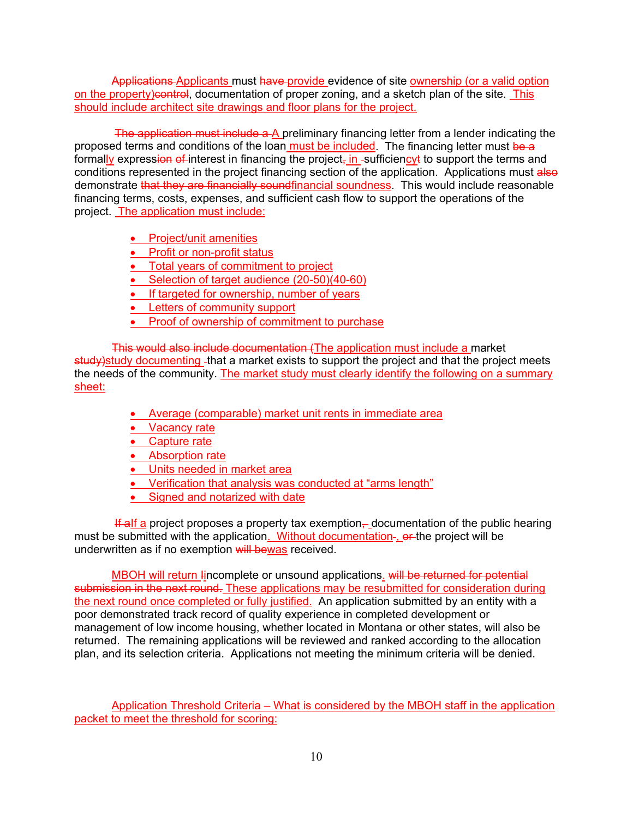Applications Applicants must have provide evidence of site ownership (or a valid option on the property)control, documentation of proper zoning, and a sketch plan of the site. This should include architect site drawings and floor plans for the project.

The application must include a A preliminary financing letter from a lender indicating the proposed terms and conditions of the loan must be included. The financing letter must be a formally expression of interest in financing the project<sub> $\frac{1}{1}$ </sub> sufficiency to support the terms and conditions represented in the project financing section of the application. Applications must also demonstrate that they are financially soundfinancial soundness. This would include reasonable financing terms, costs, expenses, and sufficient cash flow to support the operations of the project. The application must include:

- Project/unit amenities
- Profit or non-profit status
- Total years of commitment to project
- Selection of target audience (20-50)(40-60)
- If targeted for ownership, number of years
- Letters of community support
- Proof of ownership of commitment to purchase

This would also include documentation (The application must include a market study) study documenting -that a market exists to support the project and that the project meets the needs of the community. The market study must clearly identify the following on a summary sheet:

- Average (comparable) market unit rents in immediate area
- Vacancy rate
- Capture rate
- Absorption rate
- Units needed in market area
- Verification that analysis was conducted at "arms length"
- Signed and notarized with date

**If alf a project proposes a property tax exemption, documentation of the public hearing** must be submitted with the application. Without documentation-, or the project will be underwritten as if no exemption will bewas received.

MBOH will return lincomplete or unsound applications. will be returned for potential submission in the next round. These applications may be resubmitted for consideration during the next round once completed or fully justified. An application submitted by an entity with a poor demonstrated track record of quality experience in completed development or management of low income housing, whether located in Montana or other states, will also be returned. The remaining applications will be reviewed and ranked according to the allocation plan, and its selection criteria. Applications not meeting the minimum criteria will be denied.

Application Threshold Criteria – What is considered by the MBOH staff in the application packet to meet the threshold for scoring: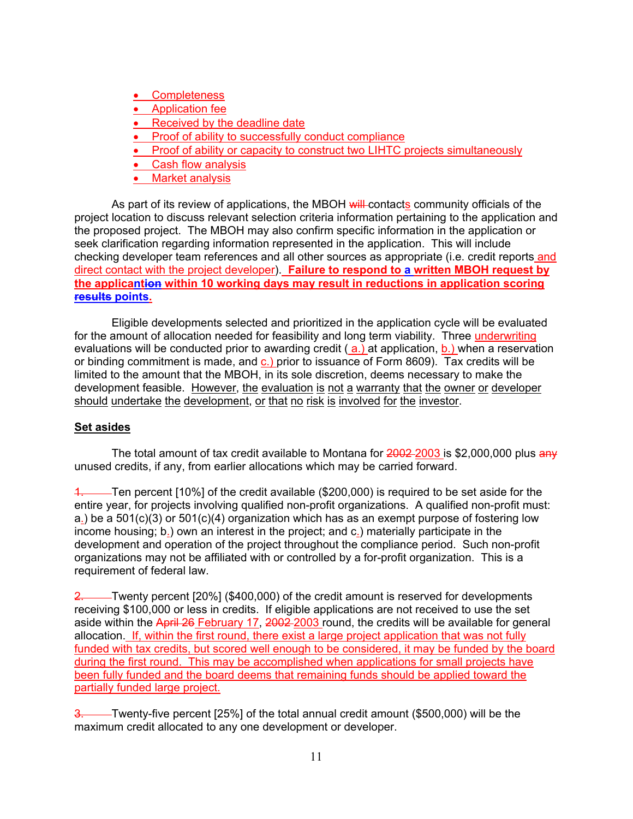- Completeness
- Application fee
- Received by the deadline date
- Proof of ability to successfully conduct compliance
- Proof of ability or capacity to construct two LIHTC projects simultaneously
- Cash flow analysis
- Market analysis

As part of its review of applications, the MBOH will-contacts community officials of the project location to discuss relevant selection criteria information pertaining to the application and the proposed project. The MBOH may also confirm specific information in the application or seek clarification regarding information represented in the application. This will include checking developer team references and all other sources as appropriate (i.e. credit reports and direct contact with the project developer). **Failure to respond to a written MBOH request by the applicantion within 10 working days may result in reductions in application scoring results points.**

Eligible developments selected and prioritized in the application cycle will be evaluated for the amount of allocation needed for feasibility and long term viability. Three underwriting evaluations will be conducted prior to awarding credit (a.) at application, b.) when a reservation or binding commitment is made, and  $c$ .) prior to issuance of Form 8609). Tax credits will be limited to the amount that the MBOH, in its sole discretion, deems necessary to make the development feasible. However, the evaluation is not a warranty that the owner or developer should undertake the development, or that no risk is involved for the investor.

# **Set asides**

The total amount of tax credit available to Montana for 2002-2003 is \$2,000,000 plus any unused credits, if any, from earlier allocations which may be carried forward.

1. Ten percent [10%] of the credit available (\$200,000) is required to be set aside for the entire year, for projects involving qualified non-profit organizations. A qualified non-profit must: a.) be a  $501(c)(3)$  or  $501(c)(4)$  organization which has as an exempt purpose of fostering low income housing; b.) own an interest in the project; and c.) materially participate in the development and operation of the project throughout the compliance period. Such non-profit organizations may not be affiliated with or controlled by a for-profit organization. This is a requirement of federal law.

2. Twenty percent [20%] (\$400,000) of the credit amount is reserved for developments receiving \$100,000 or less in credits. If eligible applications are not received to use the set aside within the April 26 February 17, 2002 2003 round, the credits will be available for general allocation. If, within the first round, there exist a large project application that was not fully funded with tax credits, but scored well enough to be considered, it may be funded by the board during the first round. This may be accomplished when applications for small projects have been fully funded and the board deems that remaining funds should be applied toward the partially funded large project.

3. Twenty-five percent [25%] of the total annual credit amount (\$500,000) will be the maximum credit allocated to any one development or developer.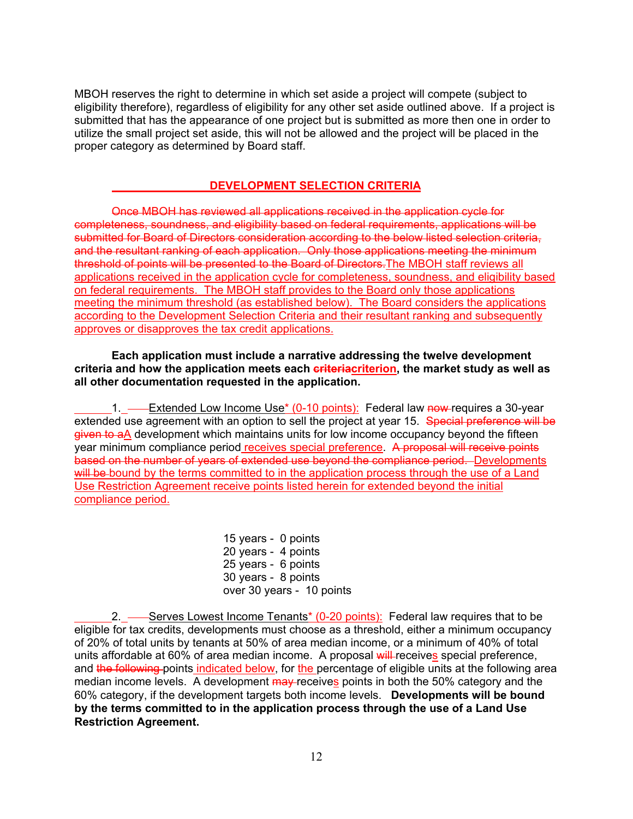MBOH reserves the right to determine in which set aside a project will compete (subject to eligibility therefore), regardless of eligibility for any other set aside outlined above. If a project is submitted that has the appearance of one project but is submitted as more then one in order to utilize the small project set aside, this will not be allowed and the project will be placed in the proper category as determined by Board staff.

# **DEVELOPMENT SELECTION CRITERIA**

Once MBOH has reviewed all applications received in the application cycle for completeness, soundness, and eligibility based on federal requirements, applications will be submitted for Board of Directors consideration according to the below listed selection criteria, and the resultant ranking of each application. Only those applications meeting the minimum threshold of points will be presented to the Board of Directors.The MBOH staff reviews all applications received in the application cycle for completeness, soundness, and eligibility based on federal requirements. The MBOH staff provides to the Board only those applications meeting the minimum threshold (as established below). The Board considers the applications according to the Development Selection Criteria and their resultant ranking and subsequently approves or disapproves the tax credit applications.

### **Each application must include a narrative addressing the twelve development criteria and how the application meets each criteriacriterion, the market study as well as all other documentation requested in the application.**

1. - Extended Low Income Use<sup>\*</sup> (0-10 points): Federal law now requires a 30-year extended use agreement with an option to sell the project at year 15. Special preference will be given to aA development which maintains units for low income occupancy beyond the fifteen year minimum compliance period receives special preference. A proposal will receive points based on the number of years of extended use beyond the compliance period. Developments will be bound by the terms committed to in the application process through the use of a Land Use Restriction Agreement receive points listed herein for extended beyond the initial compliance period.

> 15 years - 0 points 20 years - 4 points 25 years - 6 points 30 years - 8 points over 30 years - 10 points

2. — Serves Lowest Income Tenants<sup>\*</sup> (0-20 points): Federal law requires that to be eligible for tax credits, developments must choose as a threshold, either a minimum occupancy of 20% of total units by tenants at 50% of area median income, or a minimum of 40% of total units affordable at 60% of area median income. A proposal will receives special preference, and the following points indicated below, for the percentage of eligible units at the following area median income levels. A development may receives points in both the 50% category and the 60% category, if the development targets both income levels. **Developments will be bound by the terms committed to in the application process through the use of a Land Use Restriction Agreement.**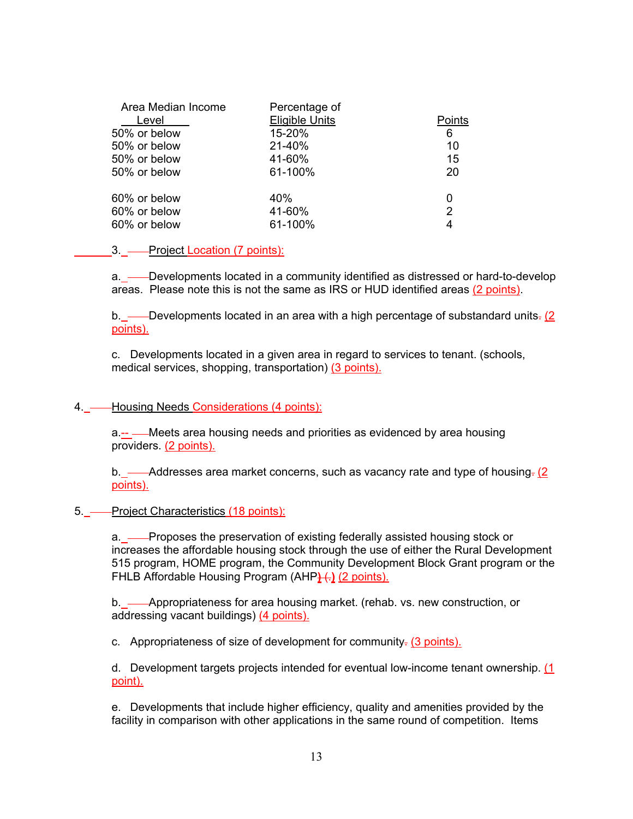| Area Median Income | Percentage of         |        |
|--------------------|-----------------------|--------|
| Level              | <b>Eligible Units</b> | Points |
| 50% or below       | 15-20%                | 6      |
| 50% or below       | 21-40%                | 10     |
| 50% or below       | 41-60%                | 15     |
| 50% or below       | 61-100%               | 20     |
| 60% or below       | 40%                   |        |
| 60% or below       | 41-60%                | 2      |
| 60% or below       | 61-100%               |        |
|                    |                       |        |

### 3. **Project Location (7 points):**

a. \_— Developments located in a community identified as distressed or hard-to-develop areas. Please note this is not the same as IRS or HUD identified areas (2 points).

b. — Developments located in an area with a high percentage of substandard units. (2) points).

c. Developments located in a given area in regard to services to tenant. (schools, medical services, shopping, transportation) (3 points).

### 4. — Housing Needs Considerations (4 points):

a.-- Meets area housing needs and priorities as evidenced by area housing providers. (2 points).

b.  $\frac{1}{2}$  Addresses area market concerns, such as vacancy rate and type of housing. (2) points).

### 5. **-** Project Characteristics (18 points):

a. — Proposes the preservation of existing federally assisted housing stock or increases the affordable housing stock through the use of either the Rural Development 515 program, HOME program, the Community Development Block Grant program or the FHLB Affordable Housing Program (AHP) (2 points).

b. Appropriateness for area housing market. (rehab. vs. new construction, or addressing vacant buildings) (4 points).

c. Appropriateness of size of development for community $\frac{1}{2}$  (3 points).

d. Development targets projects intended for eventual low-income tenant ownership. (1 point).

e. Developments that include higher efficiency, quality and amenities provided by the facility in comparison with other applications in the same round of competition. Items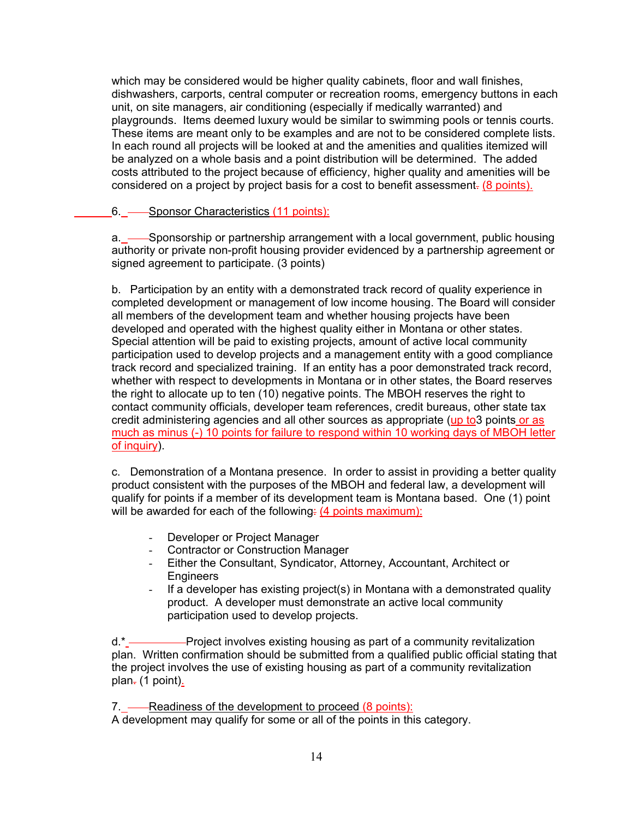which may be considered would be higher quality cabinets, floor and wall finishes, dishwashers, carports, central computer or recreation rooms, emergency buttons in each unit, on site managers, air conditioning (especially if medically warranted) and playgrounds. Items deemed luxury would be similar to swimming pools or tennis courts. These items are meant only to be examples and are not to be considered complete lists. In each round all projects will be looked at and the amenities and qualities itemized will be analyzed on a whole basis and a point distribution will be determined. The added costs attributed to the project because of efficiency, higher quality and amenities will be considered on a project by project basis for a cost to benefit assessment. (8 points).

# 6. - Sponsor Characteristics (11 points):

a. <u>Sponsorship or partnership arrangement</u> with a local government, public housing authority or private non-profit housing provider evidenced by a partnership agreement or signed agreement to participate. (3 points)

b. Participation by an entity with a demonstrated track record of quality experience in completed development or management of low income housing. The Board will consider all members of the development team and whether housing projects have been developed and operated with the highest quality either in Montana or other states. Special attention will be paid to existing projects, amount of active local community participation used to develop projects and a management entity with a good compliance track record and specialized training. If an entity has a poor demonstrated track record, whether with respect to developments in Montana or in other states, the Board reserves the right to allocate up to ten (10) negative points. The MBOH reserves the right to contact community officials, developer team references, credit bureaus, other state tax credit administering agencies and all other sources as appropriate (up to3 points or as much as minus (-) 10 points for failure to respond within 10 working days of MBOH letter of inquiry).

c. Demonstration of a Montana presence. In order to assist in providing a better quality product consistent with the purposes of the MBOH and federal law, a development will qualify for points if a member of its development team is Montana based. One (1) point will be awarded for each of the following: (4 points maximum):

- Developer or Project Manager
- Contractor or Construction Manager
- Either the Consultant, Syndicator, Attorney, Accountant, Architect or **Engineers**
- If a developer has existing project(s) in Montana with a demonstrated quality product. A developer must demonstrate an active local community participation used to develop projects.

d.\* —————Project involves existing housing as part of a community revitalization plan. Written confirmation should be submitted from a qualified public official stating that the project involves the use of existing housing as part of a community revitalization plan $-$  (1 point).

7. — Readiness of the development to proceed (8 points): A development may qualify for some or all of the points in this category.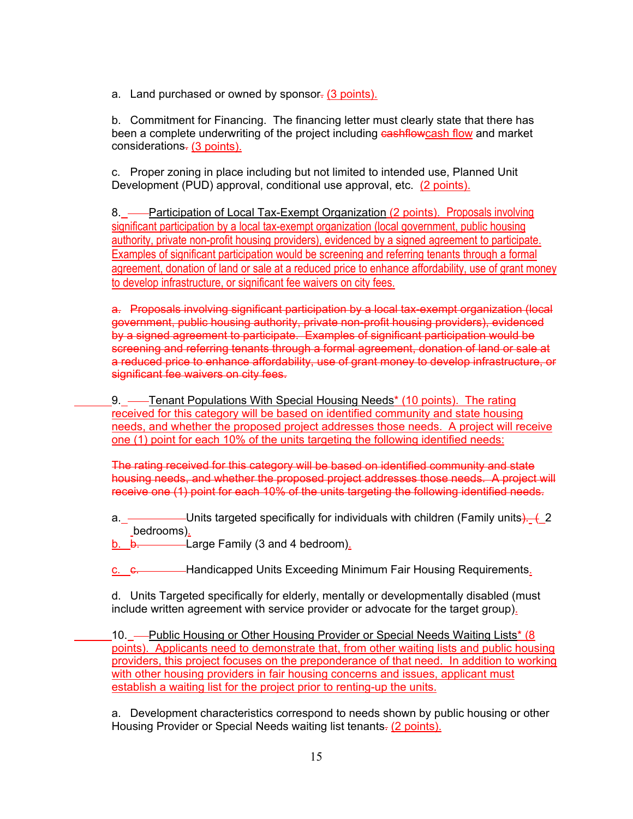a. Land purchased or owned by sponsor- (3 points).

b. Commitment for Financing. The financing letter must clearly state that there has been a complete underwriting of the project including cashflowcash flow and market considerations. (3 points).

c. Proper zoning in place including but not limited to intended use, Planned Unit Development (PUD) approval, conditional use approval, etc. (2 points).

8. Participation of Local Tax-Exempt Organization (2 points). Proposals involving significant participation by a local tax-exempt organization (local government, public housing authority, private non-profit housing providers), evidenced by a signed agreement to participate. Examples of significant participation would be screening and referring tenants through a formal agreement, donation of land or sale at a reduced price to enhance affordability, use of grant money to develop infrastructure, or significant fee waivers on city fees.

a. Proposals involving significant participation by a local tax-exempt organization (local government, public housing authority, private non-profit housing providers), evidenced by a signed agreement to participate. Examples of significant participation would be screening and referring tenants through a formal agreement, donation of land or sale at a reduced price to enhance affordability, use of grant money to develop infrastructure, or significant fee waivers on city fees.

9. — Tenant Populations With Special Housing Needs<sup>\*</sup> (10 points). The rating received for this category will be based on identified community and state housing needs, and whether the proposed project addresses those needs. A project will receive one (1) point for each 10% of the units targeting the following identified needs:

The rating received for this category will be based on identified community and state housing needs, and whether the proposed project addresses those needs. A project will receive one (1) point for each 10% of the units targeting the following identified needs.

a. Units targeted specifically for individuals with children (Family units). (\_2 bedrooms).

b.  $b.$   $b.$  Large Family (3 and 4 bedroom).

c. c. Handicapped Units Exceeding Minimum Fair Housing Requirements.

d. Units Targeted specifically for elderly, mentally or developmentally disabled (must include written agreement with service provider or advocate for the target group).

10. - Public Housing or Other Housing Provider or Special Needs Waiting Lists\* (8) points). Applicants need to demonstrate that, from other waiting lists and public housing providers, this project focuses on the preponderance of that need. In addition to working with other housing providers in fair housing concerns and issues, applicant must establish a waiting list for the project prior to renting-up the units.

a. Development characteristics correspond to needs shown by public housing or other Housing Provider or Special Needs waiting list tenants. (2 points).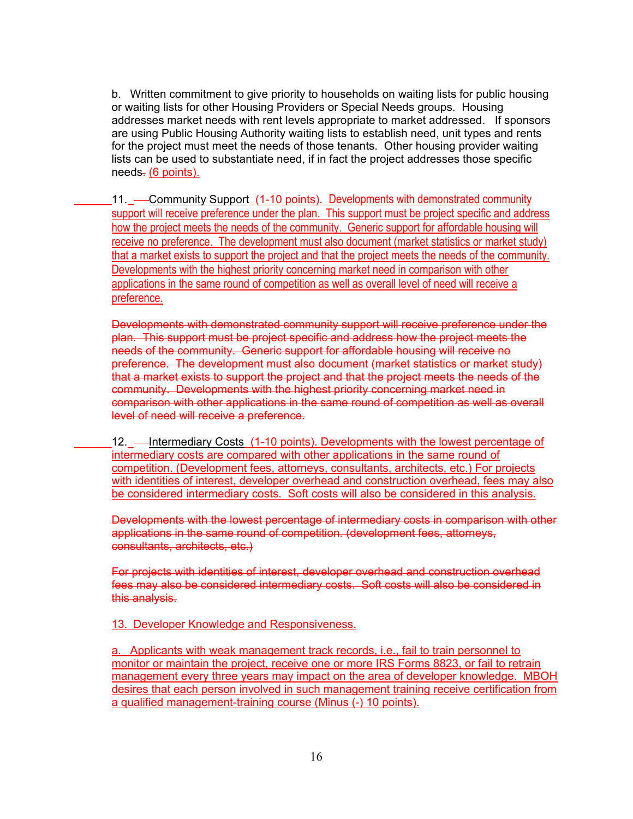b. Written commitment to give priority to households on waiting lists for public housing or waiting lists for other Housing Providers or Special Needs groups. Housing addresses market needs with rent levels appropriate to market addressed. If sponsors are using Public Housing Authority waiting lists to establish need, unit types and rents for the project must meet the needs of those tenants. Other housing provider waiting lists can be used to substantiate need, if in fact the project addresses those specific  $need$ s.  $(6$  points).

11. — Community Support (1-10 points). Developments with demonstrated community support will receive preference under the plan. This support must be project specific and address how the project meets the needs of the community. Generic support for affordable housing will receive no preference. The development must also document (market statistics or market study) that a market exists to support the project and that the project meets the needs of the community. Developments with the highest priority concerning market need in comparison with other applications in the same round of competition as well as overall level of need will receive a preference.

Developments with demonstrated community support will receive preference under the plan. This support must be project specific and address how the project meets the needs of the community. Generic support for affordable housing will receive no preference. The development must also document (market statistics or market study) that a market exists to support the project and that the project meets the needs of the community. Developments with the highest priority concerning market need in comparison with other applications in the same round of competition as well as overall level of need will receive a preference.

12. - Intermediary Costs (1-10 points). Developments with the lowest percentage of intermediary costs are compared with other applications in the same round of competition. (Development fees, attorneys, consultants, architects, etc.) For projects with identities of interest, developer overhead and construction overhead, fees may also be considered intermediary costs. Soft costs will also be considered in this analysis.

Developments with the lowest percentage of intermediary costs in comparison with other applications in the same round of competition. (development fees, attorneys, consultants, architects, etc.)

For projects with identities of interest, developer overhead and construction overhead fees may also be considered intermediary costs. Soft costs will also be considered in this analysis.

13. Developer Knowledge and Responsiveness.

a. Applicants with weak management track records, i.e., fail to train personnel to monitor or maintain the project, receive one or more IRS Forms 8823, or fail to retrain management every three years may impact on the area of developer knowledge. MBOH desires that each person involved in such management training receive certification from a qualified management-training course (Minus (-) 10 points).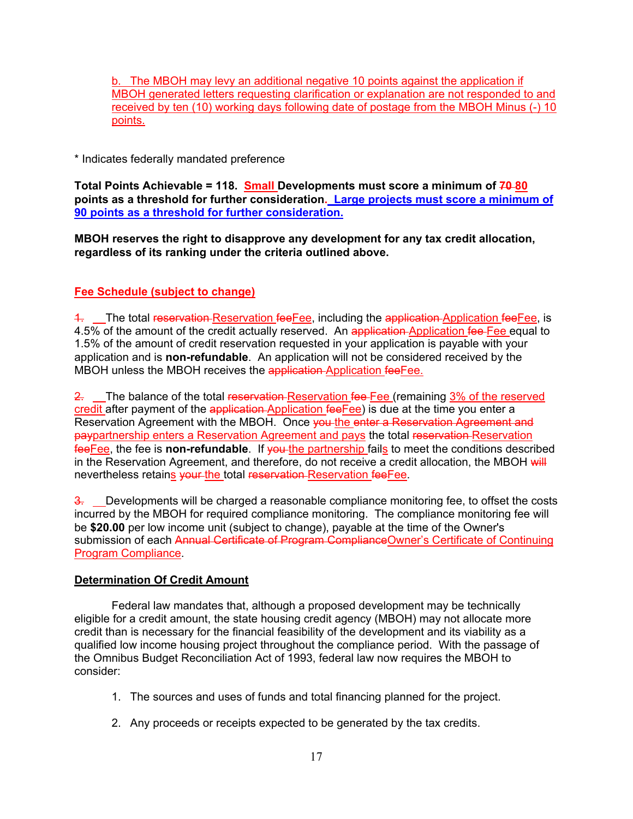b. The MBOH may levy an additional negative 10 points against the application if MBOH generated letters requesting clarification or explanation are not responded to and received by ten (10) working days following date of postage from the MBOH Minus (-) 10 points.

\* Indicates federally mandated preference

**Total Points Achievable = 118. Small Developments must score a minimum of 70 80 points as a threshold for further consideration. Large projects must score a minimum of 90 points as a threshold for further consideration.**

**MBOH reserves the right to disapprove any development for any tax credit allocation, regardless of its ranking under the criteria outlined above.**

# **Fee Schedule (subject to change)**

4. The total reservation Reservation feeFee, including the application Application feeFee, is 4.5% of the amount of the credit actually reserved. An application-Application fee-Fee equal to 1.5% of the amount of credit reservation requested in your application is payable with your application and is **non-refundable**. An application will not be considered received by the MBOH unless the MBOH receives the application Application feeFee.

2. The balance of the total reservation Reservation fee Fee (remaining 3% of the reserved credit after payment of the application-Application fee Fee) is due at the time you enter a Reservation Agreement with the MBOH. Once you the enter a Reservation Agreement and paypartnership enters a Reservation Agreement and pays the total reservation Reservation feeFee, the fee is **non-refundable**. If you the partnership fails to meet the conditions described in the Reservation Agreement, and therefore, do not receive a credit allocation, the MBOH will nevertheless retains your the total reservation Reservation fee Fee.

3. Developments will be charged a reasonable compliance monitoring fee, to offset the costs incurred by the MBOH for required compliance monitoring. The compliance monitoring fee will be **\$20.00** per low income unit (subject to change), payable at the time of the Owner's submission of each Annual Certificate of Program Compliance Owner's Certificate of Continuing Program Compliance.

# **Determination Of Credit Amount**

Federal law mandates that, although a proposed development may be technically eligible for a credit amount, the state housing credit agency (MBOH) may not allocate more credit than is necessary for the financial feasibility of the development and its viability as a qualified low income housing project throughout the compliance period. With the passage of the Omnibus Budget Reconciliation Act of 1993, federal law now requires the MBOH to consider:

- 1. The sources and uses of funds and total financing planned for the project.
- 2. Any proceeds or receipts expected to be generated by the tax credits.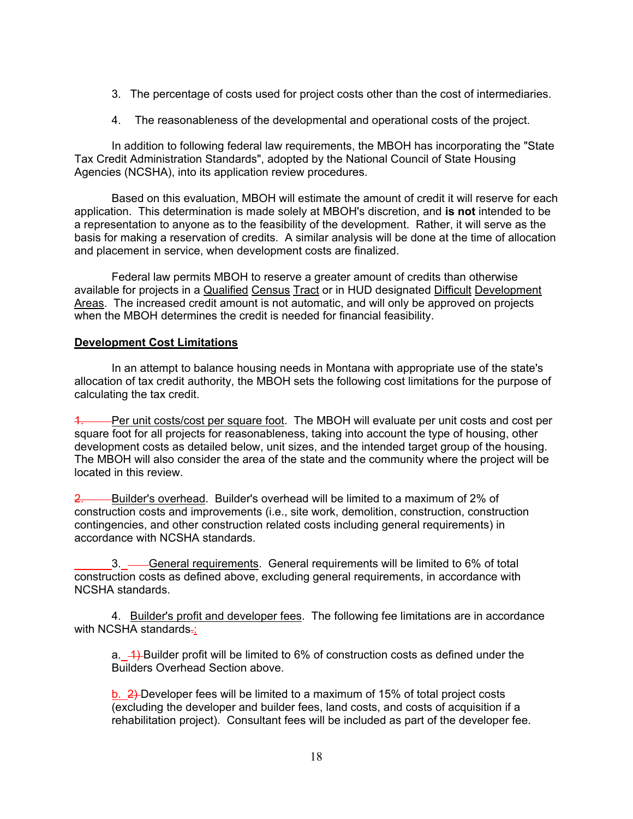- 3. The percentage of costs used for project costs other than the cost of intermediaries.
- 4. The reasonableness of the developmental and operational costs of the project.

In addition to following federal law requirements, the MBOH has incorporating the "State Tax Credit Administration Standards", adopted by the National Council of State Housing Agencies (NCSHA), into its application review procedures.

Based on this evaluation, MBOH will estimate the amount of credit it will reserve for each application. This determination is made solely at MBOH's discretion, and **is not** intended to be a representation to anyone as to the feasibility of the development. Rather, it will serve as the basis for making a reservation of credits. A similar analysis will be done at the time of allocation and placement in service, when development costs are finalized.

Federal law permits MBOH to reserve a greater amount of credits than otherwise available for projects in a Qualified Census Tract or in HUD designated Difficult Development Areas. The increased credit amount is not automatic, and will only be approved on projects when the MBOH determines the credit is needed for financial feasibility.

## **Development Cost Limitations**

In an attempt to balance housing needs in Montana with appropriate use of the state's allocation of tax credit authority, the MBOH sets the following cost limitations for the purpose of calculating the tax credit.

Per unit costs/cost per square foot. The MBOH will evaluate per unit costs and cost per square foot for all projects for reasonableness, taking into account the type of housing, other development costs as detailed below, unit sizes, and the intended target group of the housing. The MBOH will also consider the area of the state and the community where the project will be located in this review.

2. Builder's overhead. Builder's overhead will be limited to a maximum of 2% of construction costs and improvements (i.e., site work, demolition, construction, construction contingencies, and other construction related costs including general requirements) in accordance with NCSHA standards.

-General requirements. General requirements will be limited to 6% of total construction costs as defined above, excluding general requirements, in accordance with NCSHA standards.

4. Builder's profit and developer fees. The following fee limitations are in accordance with NCSHA standards-:

a.  $\rightarrow$  Builder profit will be limited to 6% of construction costs as defined under the Builders Overhead Section above.

b. 2) Developer fees will be limited to a maximum of 15% of total project costs (excluding the developer and builder fees, land costs, and costs of acquisition if a rehabilitation project). Consultant fees will be included as part of the developer fee.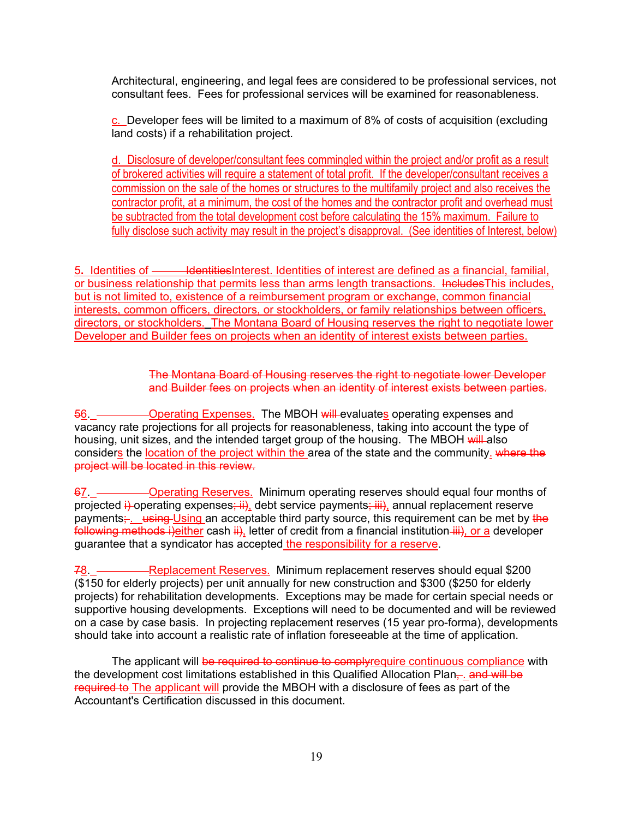Architectural, engineering, and legal fees are considered to be professional services, not consultant fees. Fees for professional services will be examined for reasonableness.

c. Developer fees will be limited to a maximum of 8% of costs of acquisition (excluding land costs) if a rehabilitation project.

d. Disclosure of developer/consultant fees commingled within the project and/or profit as a result of brokered activities will require a statement of total profit. If the developer/consultant receives a commission on the sale of the homes or structures to the multifamily project and also receives the contractor profit, at a minimum, the cost of the homes and the contractor profit and overhead must be subtracted from the total development cost before calculating the 15% maximum. Failure to fully disclose such activity may result in the project's disapproval. (See identities of Interest, below)

5**.** Identities of IdentitiesInterest. Identities of interest are defined as a financial, familial, or business relationship that permits less than arms length transactions. IncludesThis includes, but is not limited to, existence of a reimbursement program or exchange, common financial interests, common officers, directors, or stockholders, or family relationships between officers, directors, or stockholders.The Montana Board of Housing reserves the right to negotiate lower Developer and Builder fees on projects when an identity of interest exists between parties.

> The Montana Board of Housing reserves the right to negotiate lower Developer and Builder fees on projects when an identity of interest exists between parties.

-Operating Expenses. The MBOH will evaluates operating expenses and vacancy rate projections for all projects for reasonableness, taking into account the type of housing, unit sizes, and the intended target group of the housing. The MBOH will also considers the location of the project within the area of the state and the community. where the project will be located in this review.

67. Operating Reserves. Minimum operating reserves should equal four months of projected i) operating expenses; ii), debt service payments; iii), annual replacement reserve payments:  $\frac{1}{2}$  using Using an acceptable third party source, this requirement can be met by the following methods i)either cash  $\ddot{H}$ , letter of credit from a financial institution  $\ddot{H}$ , or a developer guarantee that a syndicator has accepted the responsibility for a reserve.

-Replacement Reserves. Minimum replacement reserves should equal \$200 (\$150 for elderly projects) per unit annually for new construction and \$300 (\$250 for elderly projects) for rehabilitation developments. Exceptions may be made for certain special needs or supportive housing developments. Exceptions will need to be documented and will be reviewed on a case by case basis. In projecting replacement reserves (15 year pro-forma), developments should take into account a realistic rate of inflation foreseeable at the time of application.

The applicant will be required to continue to complyrequire continuous compliance with the development cost limitations established in this Qualified Allocation Plan, and will be required to The applicant will provide the MBOH with a disclosure of fees as part of the Accountant's Certification discussed in this document.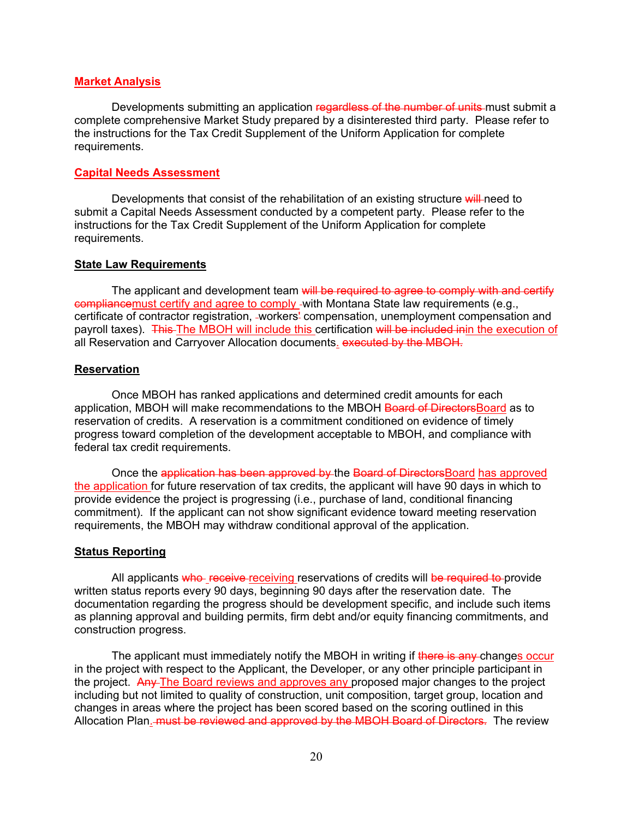#### **Market Analysis**

Developments submitting an application regardless of the number of units must submit a complete comprehensive Market Study prepared by a disinterested third party. Please refer to the instructions for the Tax Credit Supplement of the Uniform Application for complete requirements.

#### **Capital Needs Assessment**

Developments that consist of the rehabilitation of an existing structure will need to submit a Capital Needs Assessment conducted by a competent party. Please refer to the instructions for the Tax Credit Supplement of the Uniform Application for complete requirements.

#### **State Law Requirements**

The applicant and development team will be required to agree to comply with and certify compliancemust certify and agree to comply with Montana State law requirements (e.g., certificate of contractor registration, workers' compensation, unemployment compensation and payroll taxes). This The MBOH will include this certification will be included inin the execution of all Reservation and Carryover Allocation documents. executed by the MBOH.

### **Reservation**

Once MBOH has ranked applications and determined credit amounts for each application, MBOH will make recommendations to the MBOH Board of DirectorsBoard as to reservation of credits. A reservation is a commitment conditioned on evidence of timely progress toward completion of the development acceptable to MBOH, and compliance with federal tax credit requirements.

Once the application has been approved by the Board of Directors Board has approved the application for future reservation of tax credits, the applicant will have 90 days in which to provide evidence the project is progressing (i.e., purchase of land, conditional financing commitment). If the applicant can not show significant evidence toward meeting reservation requirements, the MBOH may withdraw conditional approval of the application.

#### **Status Reporting**

All applicants who receive receiving reservations of credits will be required to provide written status reports every 90 days, beginning 90 days after the reservation date. The documentation regarding the progress should be development specific, and include such items as planning approval and building permits, firm debt and/or equity financing commitments, and construction progress.

The applicant must immediately notify the MBOH in writing if there is any changes occur in the project with respect to the Applicant, the Developer, or any other principle participant in the project. Any The Board reviews and approves any proposed major changes to the project including but not limited to quality of construction, unit composition, target group, location and changes in areas where the project has been scored based on the scoring outlined in this Allocation Plan. must be reviewed and approved by the MBOH Board of Directors. The review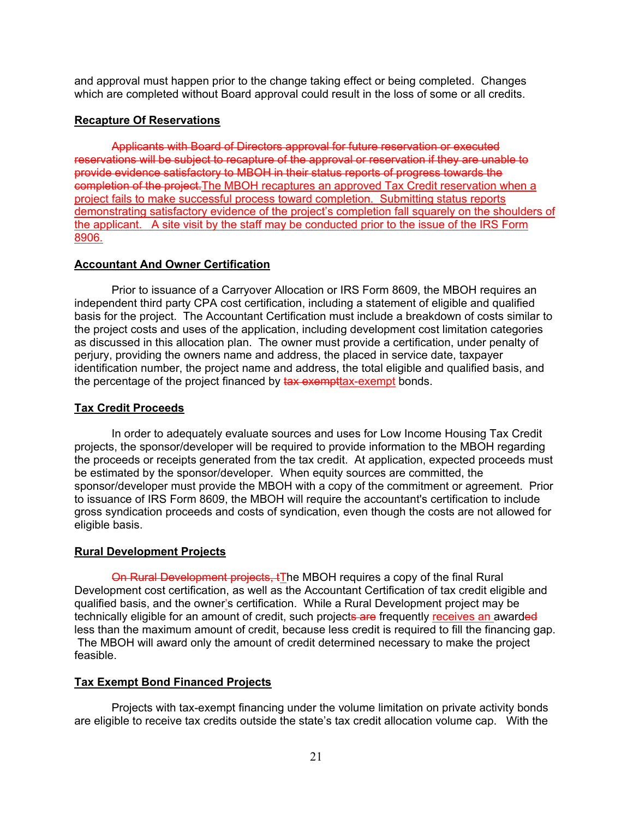and approval must happen prior to the change taking effect or being completed. Changes which are completed without Board approval could result in the loss of some or all credits.

### **Recapture Of Reservations**

Applicants with Board of Directors approval for future reservation or executed reservations will be subject to recapture of the approval or reservation if they are unable to provide evidence satisfactory to MBOH in their status reports of progress towards the completion of the project.The MBOH recaptures an approved Tax Credit reservation when a project fails to make successful process toward completion. Submitting status reports demonstrating satisfactory evidence of the project's completion fall squarely on the shoulders of the applicant. A site visit by the staff may be conducted prior to the issue of the IRS Form 8906.

## **Accountant And Owner Certification**

Prior to issuance of a Carryover Allocation or IRS Form 8609, the MBOH requires an independent third party CPA cost certification, including a statement of eligible and qualified basis for the project. The Accountant Certification must include a breakdown of costs similar to the project costs and uses of the application, including development cost limitation categories as discussed in this allocation plan. The owner must provide a certification, under penalty of perjury, providing the owners name and address, the placed in service date, taxpayer identification number, the project name and address, the total eligible and qualified basis, and the percentage of the project financed by tax exempt tax-exempt bonds.

## **Tax Credit Proceeds**

In order to adequately evaluate sources and uses for Low Income Housing Tax Credit projects, the sponsor/developer will be required to provide information to the MBOH regarding the proceeds or receipts generated from the tax credit. At application, expected proceeds must be estimated by the sponsor/developer. When equity sources are committed, the sponsor/developer must provide the MBOH with a copy of the commitment or agreement. Prior to issuance of IRS Form 8609, the MBOH will require the accountant's certification to include gross syndication proceeds and costs of syndication, even though the costs are not allowed for eligible basis.

# **Rural Development Projects**

On Rural Development projects, tThe MBOH requires a copy of the final Rural Development cost certification, as well as the Accountant Certification of tax credit eligible and qualified basis, and the owner's certification. While a Rural Development project may be technically eligible for an amount of credit, such projects are frequently receives an awarded less than the maximum amount of credit, because less credit is required to fill the financing gap. The MBOH will award only the amount of credit determined necessary to make the project feasible.

# **Tax Exempt Bond Financed Projects**

Projects with tax-exempt financing under the volume limitation on private activity bonds are eligible to receive tax credits outside the state's tax credit allocation volume cap. With the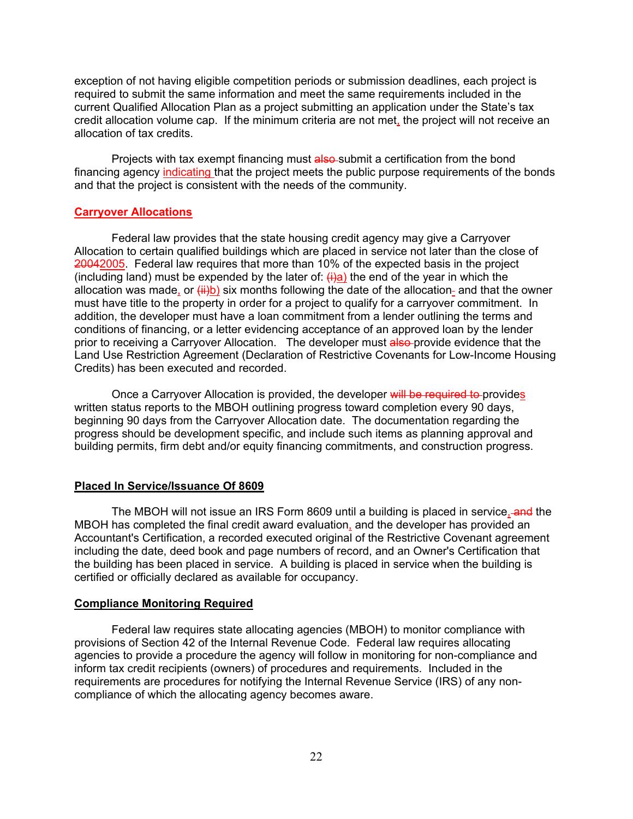exception of not having eligible competition periods or submission deadlines, each project is required to submit the same information and meet the same requirements included in the current Qualified Allocation Plan as a project submitting an application under the State's tax credit allocation volume cap. If the minimum criteria are not met, the project will not receive an allocation of tax credits.

Projects with tax exempt financing must also-submit a certification from the bond financing agency indicating that the project meets the public purpose requirements of the bonds and that the project is consistent with the needs of the community.

#### **Carryover Allocations**

Federal law provides that the state housing credit agency may give a Carryover Allocation to certain qualified buildings which are placed in service not later than the close of 20042005. Federal law requires that more than 10% of the expected basis in the project (including land) must be expended by the later of:  $\frac{f(\cdot)}{g(\cdot)}$  the end of the year in which the allocation was made, or  $(i)$  is ix months following the date of the allocation- and that the owner must have title to the property in order for a project to qualify for a carryover commitment. In addition, the developer must have a loan commitment from a lender outlining the terms and conditions of financing, or a letter evidencing acceptance of an approved loan by the lender prior to receiving a Carryover Allocation. The developer must also provide evidence that the Land Use Restriction Agreement (Declaration of Restrictive Covenants for Low-Income Housing Credits) has been executed and recorded.

Once a Carryover Allocation is provided, the developer will be required to provides written status reports to the MBOH outlining progress toward completion every 90 days, beginning 90 days from the Carryover Allocation date. The documentation regarding the progress should be development specific, and include such items as planning approval and building permits, firm debt and/or equity financing commitments, and construction progress.

#### **Placed In Service/Issuance Of 8609**

The MBOH will not issue an IRS Form 8609 until a building is placed in service, and the MBOH has completed the final credit award evaluation, and the developer has provided an Accountant's Certification, a recorded executed original of the Restrictive Covenant agreement including the date, deed book and page numbers of record, and an Owner's Certification that the building has been placed in service. A building is placed in service when the building is certified or officially declared as available for occupancy.

#### **Compliance Monitoring Required**

Federal law requires state allocating agencies (MBOH) to monitor compliance with provisions of Section 42 of the Internal Revenue Code. Federal law requires allocating agencies to provide a procedure the agency will follow in monitoring for non-compliance and inform tax credit recipients (owners) of procedures and requirements. Included in the requirements are procedures for notifying the Internal Revenue Service (IRS) of any noncompliance of which the allocating agency becomes aware.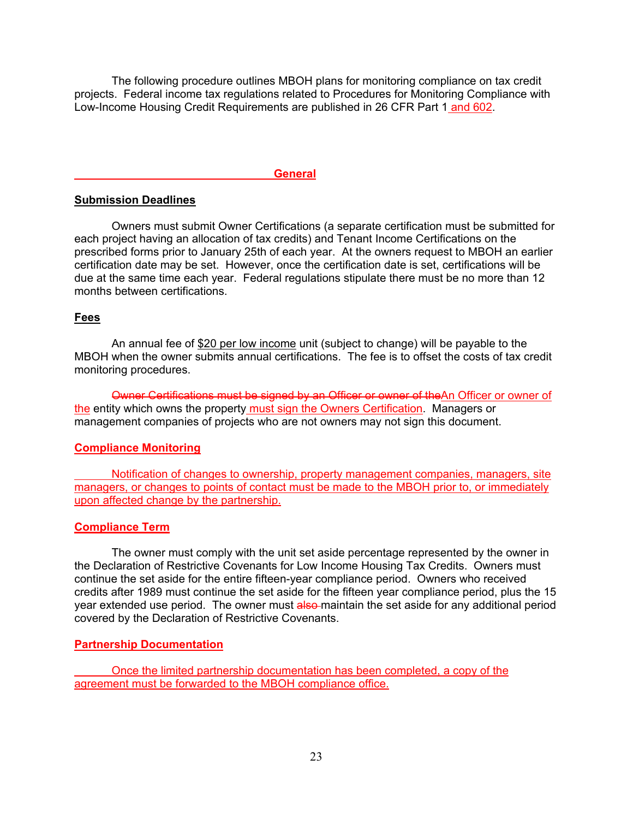The following procedure outlines MBOH plans for monitoring compliance on tax credit projects. Federal income tax regulations related to Procedures for Monitoring Compliance with Low-Income Housing Credit Requirements are published in 26 CFR Part 1 and 602.

#### **General**

#### **Submission Deadlines**

Owners must submit Owner Certifications (a separate certification must be submitted for each project having an allocation of tax credits) and Tenant Income Certifications on the prescribed forms prior to January 25th of each year. At the owners request to MBOH an earlier certification date may be set. However, once the certification date is set, certifications will be due at the same time each year. Federal regulations stipulate there must be no more than 12 months between certifications.

#### **Fees**

An annual fee of \$20 per low income unit (subject to change) will be payable to the MBOH when the owner submits annual certifications. The fee is to offset the costs of tax credit monitoring procedures.

Owner Certifications must be signed by an Officer or owner of theAn Officer or owner of the entity which owns the property must sign the Owners Certification. Managers or management companies of projects who are not owners may not sign this document.

#### **Compliance Monitoring**

 Notification of changes to ownership, property management companies, managers, site managers, or changes to points of contact must be made to the MBOH prior to, or immediately upon affected change by the partnership.

#### **Compliance Term**

The owner must comply with the unit set aside percentage represented by the owner in the Declaration of Restrictive Covenants for Low Income Housing Tax Credits. Owners must continue the set aside for the entire fifteen-year compliance period. Owners who received credits after 1989 must continue the set aside for the fifteen year compliance period, plus the 15 year extended use period. The owner must also maintain the set aside for any additional period covered by the Declaration of Restrictive Covenants.

#### **Partnership Documentation**

 Once the limited partnership documentation has been completed, a copy of the agreement must be forwarded to the MBOH compliance office.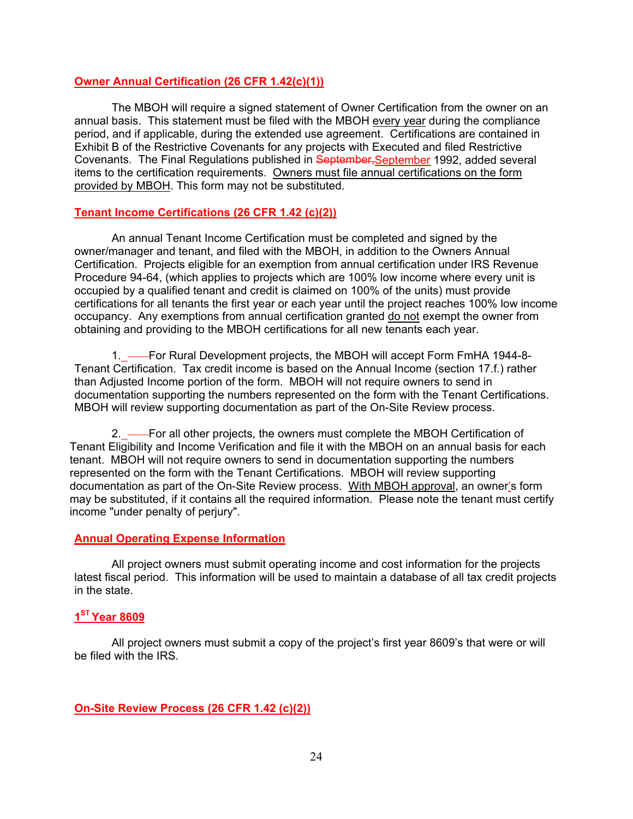### **Owner Annual Certification (26 CFR 1.42(c)(1))**

The MBOH will require a signed statement of Owner Certification from the owner on an annual basis. This statement must be filed with the MBOH every year during the compliance period, and if applicable, during the extended use agreement. Certifications are contained in Exhibit B of the Restrictive Covenants for any projects with Executed and filed Restrictive Covenants. The Final Regulations published in September,September 1992, added several items to the certification requirements. Owners must file annual certifications on the form provided by MBOH. This form may not be substituted.

# **Tenant Income Certifications (26 CFR 1.42 (c)(2))**

An annual Tenant Income Certification must be completed and signed by the owner/manager and tenant, and filed with the MBOH, in addition to the Owners Annual Certification. Projects eligible for an exemption from annual certification under IRS Revenue Procedure 94-64, (which applies to projects which are 100% low income where every unit is occupied by a qualified tenant and credit is claimed on 100% of the units) must provide certifications for all tenants the first year or each year until the project reaches 100% low income occupancy. Any exemptions from annual certification granted do not exempt the owner from obtaining and providing to the MBOH certifications for all new tenants each year.

1. — For Rural Development projects, the MBOH will accept Form FmHA 1944-8-Tenant Certification. Tax credit income is based on the Annual Income (section 17.f.) rather than Adjusted Income portion of the form. MBOH will not require owners to send in documentation supporting the numbers represented on the form with the Tenant Certifications. MBOH will review supporting documentation as part of the On-Site Review process.

2. — For all other projects, the owners must complete the MBOH Certification of Tenant Eligibility and Income Verification and file it with the MBOH on an annual basis for each tenant. MBOH will not require owners to send in documentation supporting the numbers represented on the form with the Tenant Certifications. MBOH will review supporting documentation as part of the On-Site Review process. With MBOH approval, an owner's form may be substituted, if it contains all the required information. Please note the tenant must certify income "under penalty of perjury".

### **Annual Operating Expense Information**

All project owners must submit operating income and cost information for the projects latest fiscal period. This information will be used to maintain a database of all tax credit projects in the state.

### **1ST Year 8609**

All project owners must submit a copy of the project's first year 8609's that were or will be filed with the IRS.

**On-Site Review Process (26 CFR 1.42 (c)(2))**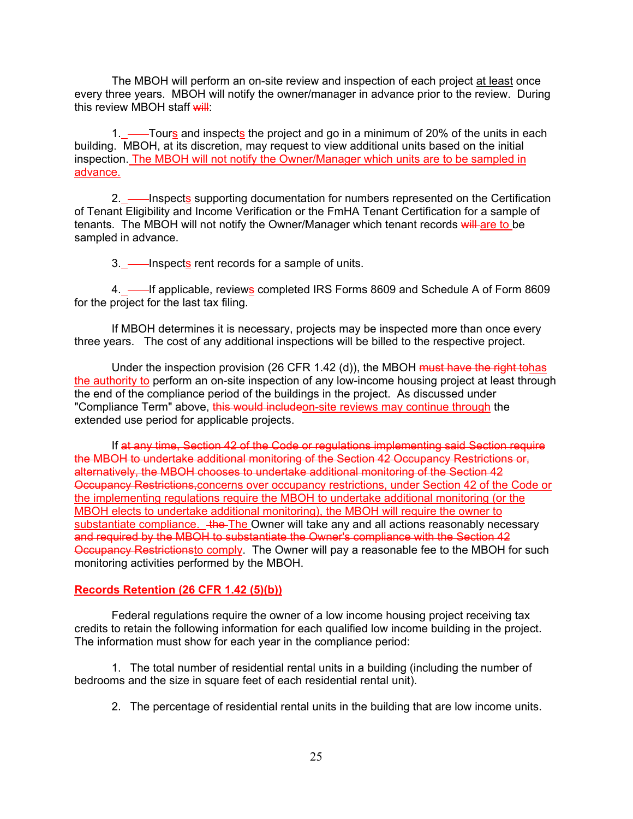The MBOH will perform an on-site review and inspection of each project at least once every three years. MBOH will notify the owner/manager in advance prior to the review. During this review MBOH staff will:

1. ——Tours and inspects the project and go in a minimum of 20% of the units in each building. MBOH, at its discretion, may request to view additional units based on the initial inspection. The MBOH will not notify the Owner/Manager which units are to be sampled in advance.

2. — Inspects supporting documentation for numbers represented on the Certification of Tenant Eligibility and Income Verification or the FmHA Tenant Certification for a sample of tenants. The MBOH will not notify the Owner/Manager which tenant records will are to be sampled in advance.

3. — Inspects rent records for a sample of units.

4. If applicable, reviews completed IRS Forms 8609 and Schedule A of Form 8609 for the project for the last tax filing.

If MBOH determines it is necessary, projects may be inspected more than once every three years. The cost of any additional inspections will be billed to the respective project.

Under the inspection provision (26 CFR 1.42 (d)), the MBOH must have the right tohas the authority to perform an on-site inspection of any low-income housing project at least through the end of the compliance period of the buildings in the project. As discussed under "Compliance Term" above, this would includeon-site reviews may continue through the extended use period for applicable projects.

If at any time, Section 42 of the Code or regulations implementing said Section require the MBOH to undertake additional monitoring of the Section 42 Occupancy Restrictions or, alternatively, the MBOH chooses to undertake additional monitoring of the Section 42 Occupancy Restrictions,concerns over occupancy restrictions, under Section 42 of the Code or the implementing regulations require the MBOH to undertake additional monitoring (or the MBOH elects to undertake additional monitoring), the MBOH will require the owner to substantiate compliance. + the The Owner will take any and all actions reasonably necessary and required by the MBOH to substantiate the Owner's compliance with the Section 42 Occupancy Restrictionsto comply. The Owner will pay a reasonable fee to the MBOH for such monitoring activities performed by the MBOH.

#### **Records Retention (26 CFR 1.42 (5)(b))**

Federal regulations require the owner of a low income housing project receiving tax credits to retain the following information for each qualified low income building in the project. The information must show for each year in the compliance period:

1. The total number of residential rental units in a building (including the number of bedrooms and the size in square feet of each residential rental unit).

2. The percentage of residential rental units in the building that are low income units.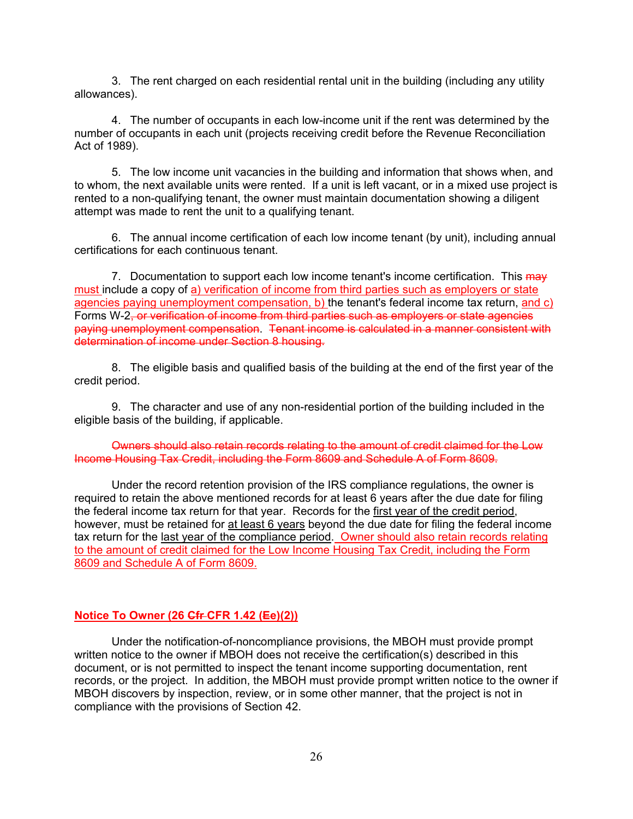3. The rent charged on each residential rental unit in the building (including any utility allowances).

4. The number of occupants in each low-income unit if the rent was determined by the number of occupants in each unit (projects receiving credit before the Revenue Reconciliation Act of 1989).

5. The low income unit vacancies in the building and information that shows when, and to whom, the next available units were rented. If a unit is left vacant, or in a mixed use project is rented to a non-qualifying tenant, the owner must maintain documentation showing a diligent attempt was made to rent the unit to a qualifying tenant.

6. The annual income certification of each low income tenant (by unit), including annual certifications for each continuous tenant.

7. Documentation to support each low income tenant's income certification. This may must include a copy of a) verification of income from third parties such as employers or state agencies paying unemployment compensation, b) the tenant's federal income tax return, and c) Forms W-2, or verification of income from third parties such as employers or state agencies paying unemployment compensation. Tenant income is calculated in a manner consistent with determination of income under Section 8 housing.

8. The eligible basis and qualified basis of the building at the end of the first year of the credit period.

9. The character and use of any non-residential portion of the building included in the eligible basis of the building, if applicable.

Owners should also retain records relating to the amount of credit claimed for the Low Income Housing Tax Credit, including the Form 8609 and Schedule A of Form 8609.

Under the record retention provision of the IRS compliance regulations, the owner is required to retain the above mentioned records for at least 6 years after the due date for filing the federal income tax return for that year. Records for the first year of the credit period, however, must be retained for at least 6 years beyond the due date for filing the federal income tax return for the last year of the compliance period. Owner should also retain records relating to the amount of credit claimed for the Low Income Housing Tax Credit, including the Form 8609 and Schedule A of Form 8609.

# **Notice To Owner (26 Cfr CFR 1.42 (Ee)(2))**

Under the notification-of-noncompliance provisions, the MBOH must provide prompt written notice to the owner if MBOH does not receive the certification(s) described in this document, or is not permitted to inspect the tenant income supporting documentation, rent records, or the project. In addition, the MBOH must provide prompt written notice to the owner if MBOH discovers by inspection, review, or in some other manner, that the project is not in compliance with the provisions of Section 42.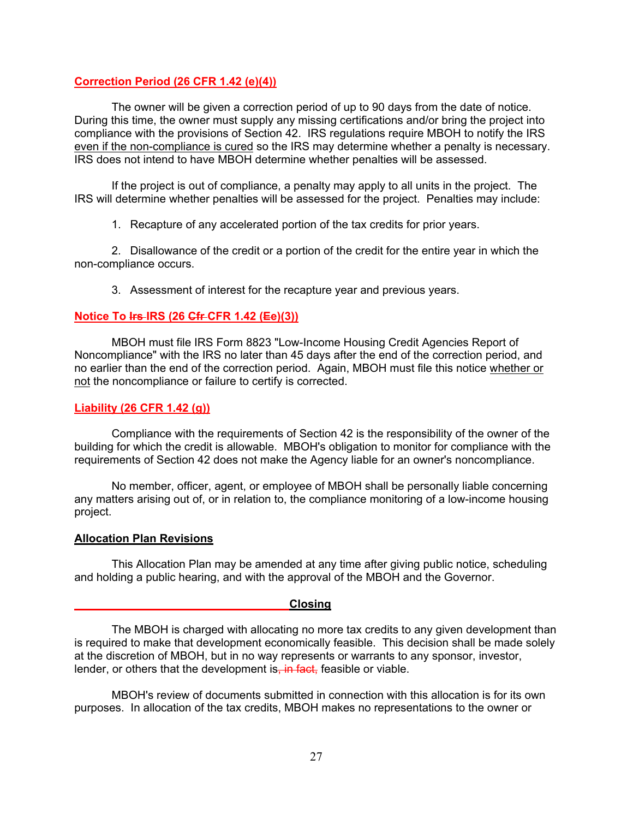# **Correction Period (26 CFR 1.42 (e)(4))**

The owner will be given a correction period of up to 90 days from the date of notice. During this time, the owner must supply any missing certifications and/or bring the project into compliance with the provisions of Section 42. IRS regulations require MBOH to notify the IRS even if the non-compliance is cured so the IRS may determine whether a penalty is necessary. IRS does not intend to have MBOH determine whether penalties will be assessed.

If the project is out of compliance, a penalty may apply to all units in the project. The IRS will determine whether penalties will be assessed for the project. Penalties may include:

1. Recapture of any accelerated portion of the tax credits for prior years.

2. Disallowance of the credit or a portion of the credit for the entire year in which the non-compliance occurs.

3. Assessment of interest for the recapture year and previous years.

### **Notice To Irs IRS (26 Cfr CFR 1.42 (Ee)(3))**

MBOH must file IRS Form 8823 "Low-Income Housing Credit Agencies Report of Noncompliance" with the IRS no later than 45 days after the end of the correction period, and no earlier than the end of the correction period. Again, MBOH must file this notice whether or not the noncompliance or failure to certify is corrected.

#### **Liability (26 CFR 1.42 (g))**

Compliance with the requirements of Section 42 is the responsibility of the owner of the building for which the credit is allowable. MBOH's obligation to monitor for compliance with the requirements of Section 42 does not make the Agency liable for an owner's noncompliance.

No member, officer, agent, or employee of MBOH shall be personally liable concerning any matters arising out of, or in relation to, the compliance monitoring of a low-income housing project.

#### **Allocation Plan Revisions**

This Allocation Plan may be amended at any time after giving public notice, scheduling and holding a public hearing, and with the approval of the MBOH and the Governor.

#### **Closing**

The MBOH is charged with allocating no more tax credits to any given development than is required to make that development economically feasible. This decision shall be made solely at the discretion of MBOH, but in no way represents or warrants to any sponsor, investor, lender, or others that the development is, in fact, feasible or viable.

MBOH's review of documents submitted in connection with this allocation is for its own purposes. In allocation of the tax credits, MBOH makes no representations to the owner or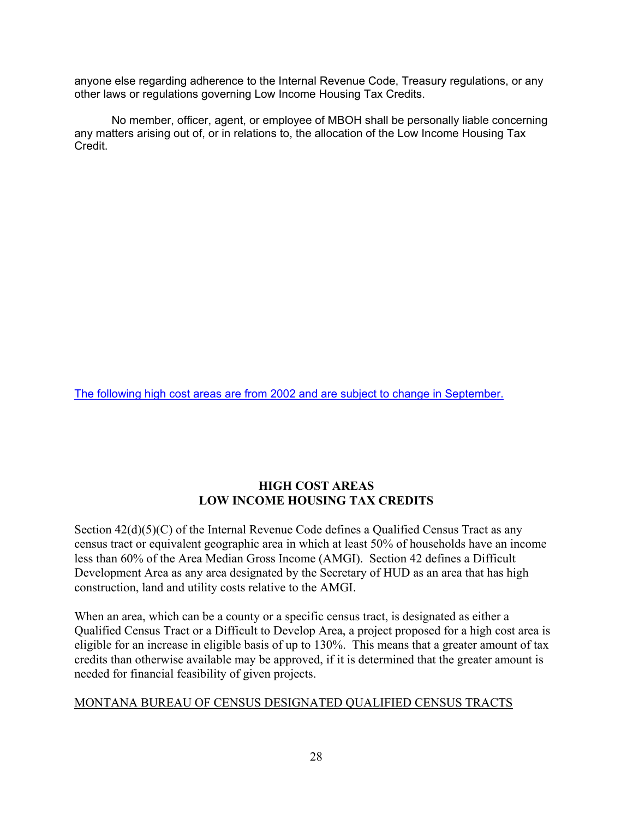anyone else regarding adherence to the Internal Revenue Code, Treasury regulations, or any other laws or regulations governing Low Income Housing Tax Credits.

No member, officer, agent, or employee of MBOH shall be personally liable concerning any matters arising out of, or in relations to, the allocation of the Low Income Housing Tax Credit.

The following high cost areas are from 2002 and are subject to change in September.

# **HIGH COST AREAS LOW INCOME HOUSING TAX CREDITS**

Section  $42(d)(5)(C)$  of the Internal Revenue Code defines a Qualified Census Tract as any census tract or equivalent geographic area in which at least 50% of households have an income less than 60% of the Area Median Gross Income (AMGI). Section 42 defines a Difficult Development Area as any area designated by the Secretary of HUD as an area that has high construction, land and utility costs relative to the AMGI.

When an area, which can be a county or a specific census tract, is designated as either a Qualified Census Tract or a Difficult to Develop Area, a project proposed for a high cost area is eligible for an increase in eligible basis of up to 130%. This means that a greater amount of tax credits than otherwise available may be approved, if it is determined that the greater amount is needed for financial feasibility of given projects.

# MONTANA BUREAU OF CENSUS DESIGNATED QUALIFIED CENSUS TRACTS